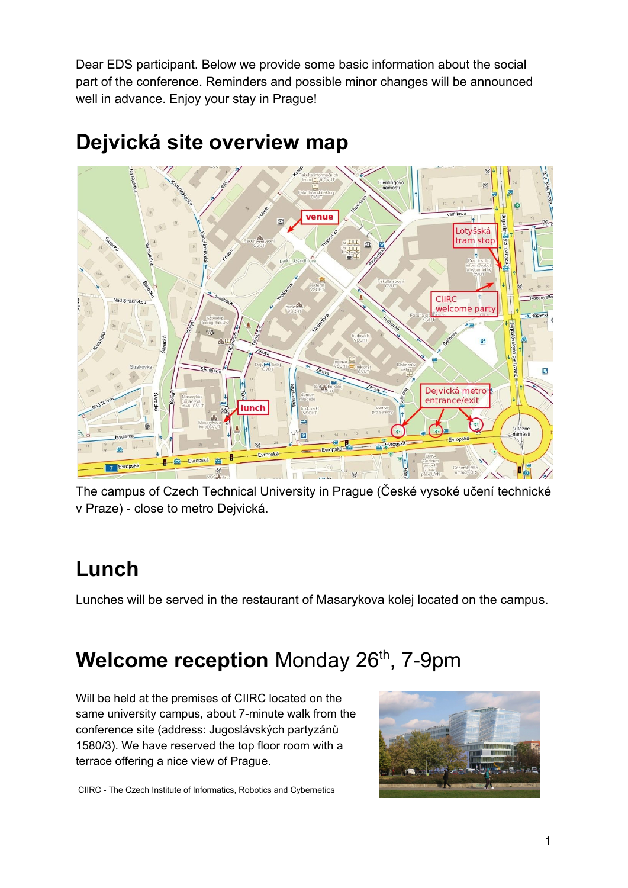Dear EDS participant. Below we provide some basic information about the social part of the conference. Reminders and possible minor changes will be announced well in advance. Enjoy your stay in Prague!



#### **Dejvická site overview map**

The campus of Czech Technical University in Prague (České vysoké učení technické v Praze) - close to metro Dejvická.

### **Lunch**

Lunches will be served in the restaurant of Masarykova kolej located on the campus.

## **Welcome reception** Monday 26<sup>th</sup>, 7-9pm

Will be held at the premises of CIIRC located on the same university campus, about 7-minute walk from the conference site (address: Jugoslávských partyzánů 1580/3). We have reserved the top floor room with a terrace offering a nice view of Prague.



CIIRC - The Czech Institute of Informatics, Robotics and Cybernetics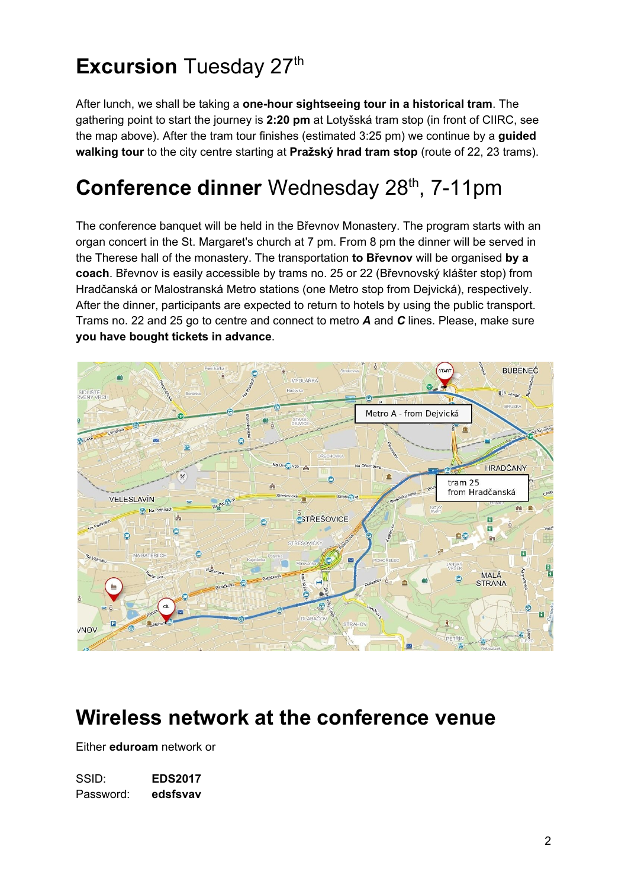# **Excursion** Tuesday 27<sup>th</sup>

After lunch, we shall be taking a **one-hour sightseeing tour in a historical tram**. The gathering point to start the journey is **2:20 pm** at Lotyšská tram stop (in front of CIIRC, see the map above). After the tram tour finishes (estimated 3:25 pm) we continue by a **guided walking tour** to the city centre starting at **Pražský hrad tram stop** (route of 22, 23 trams).

## **Conference dinner** Wednesday 28<sup>th</sup>, 7-11pm

The conference banquet will be held in the Břevnov Monastery. The program starts with an organ concert in the St. Margaret's church at 7 pm. From 8 pm the dinner will be served in the Therese hall of the monastery. The transportation **to Břevnov** will be organised **by a coach**. Břevnov is easily accessible by trams no. 25 or 22 (Břevnovský klášter stop) from Hradčanská or Malostranská Metro stations (one Metro stop from Dejvická), respectively. After the dinner, participants are expected to return to hotels by using the public transport. Trams no. 22 and 25 go to centre and connect to metro *A* and *C* lines. Please, make sure **you have bought tickets in advance**.



#### **Wireless network at the conference venue**

Either **eduroam** network or

SSID: **EDS2017** Password: **edsfsvav**